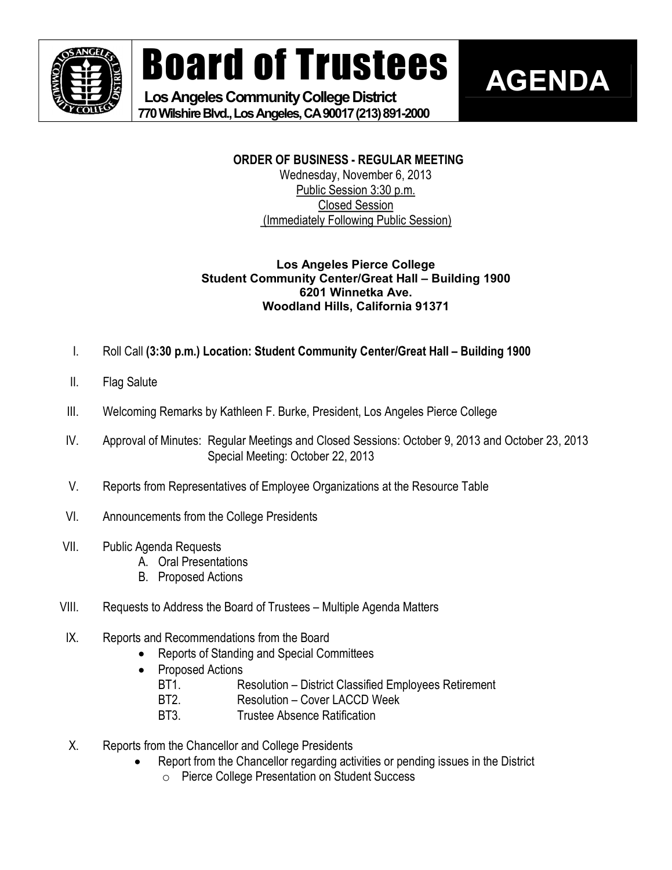

Board of Trustees

Los Angeles Community College District **770WilshireBlvd.,LosAngeles,CA90017(213)8912000** 

# **ORDER OF BUSINESS REGULAR MEETING**

**AGENDA**

Wednesday, November 6, 2013 Public Session 3:30 p.m. Closed Session (Immediately Following Public Session)

#### **Los Angeles Pierce College Student Community Center/Great Hall – Building 1900 6201 Winnetka Ave. Woodland Hills, California 91371**

- I. Roll Call **(3:30 p.m.) Location: Student Community Center/Great Hall – Building 1900**
- II. Flag Salute
- III. Welcoming Remarks by Kathleen F. Burke, President, Los Angeles Pierce College
- IV. Approval of Minutes: Regular Meetings and Closed Sessions: October 9, 2013 and October 23, 2013 Special Meeting: October 22, 2013
- V. Reports from Representatives of Employee Organizations at the Resource Table
- VI. Announcements from the College Presidents
- VII. Public Agenda Requests
	- A. Oral Presentations
	- B. Proposed Actions
- VIII. Requests to Address the Board of Trustees Multiple Agenda Matters
- IX. Reports and Recommendations from the Board
	- · Reports of Standing and Special Committees
	- Proposed Actions
		- BT1. Resolution District Classified Employees Retirement
		- BT2. Resolution Cover LACCD Week
		- BT3. Trustee Absence Ratification
- X. Reports from the Chancellor and College Presidents
	- Report from the Chancellor regarding activities or pending issues in the District
		- o Pierce College Presentation on Student Success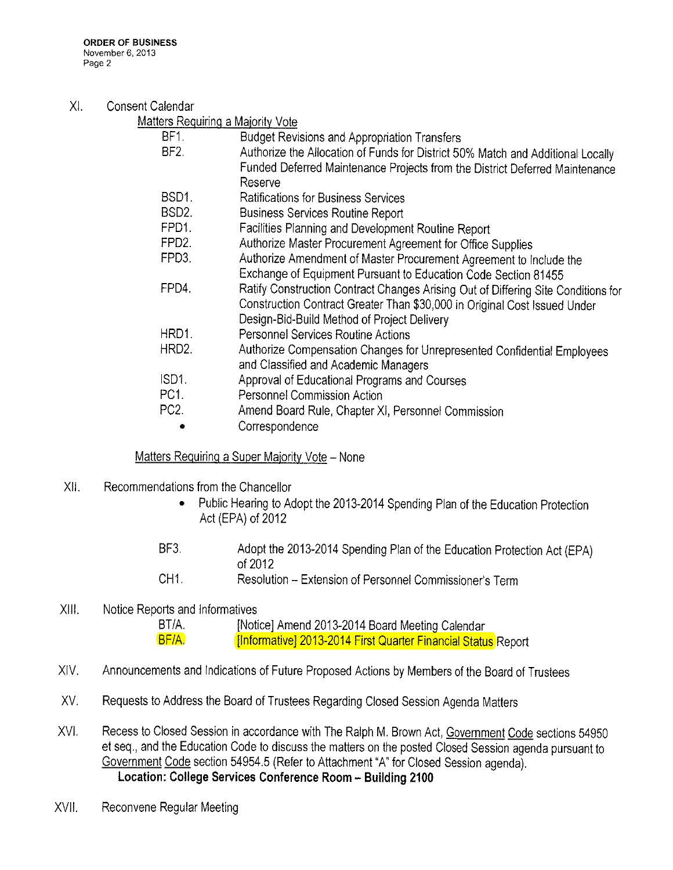## Xl. Consent Caiendar

| Matters Requiring a Majority Vote |  |
|-----------------------------------|--|
|                                   |  |

| BF1.             | <b>Budget Revisions and Appropriation Transfers</b>                               |
|------------------|-----------------------------------------------------------------------------------|
| BF <sub>2</sub>  | Authorize the Allocation of Funds for District 50% Match and Additional Locally   |
|                  | Funded Deferred Maintenance Projects from the District Deferred Maintenance       |
|                  | Reserve                                                                           |
| BSD1.            | <b>Ratifications for Business Services</b>                                        |
| BSD2.            | <b>Business Services Routine Report</b>                                           |
| FPD1.            | Facilities Planning and Development Routine Report                                |
| FPD <sub>2</sub> | Authorize Master Procurement Agreement for Office Supplies                        |
| FPD3.            | Authorize Amendment of Master Procurement Agreement to Include the                |
|                  | Exchange of Equipment Pursuant to Education Code Section 81455                    |
| FPD4.            | Ratify Construction Contract Changes Arising Out of Differing Site Conditions for |
|                  | Construction Contract Greater Than \$30,000 in Original Cost Issued Under         |
|                  | Design-Bid-Build Method of Project Delivery                                       |
| HRD1.            | <b>Personnel Services Routine Actions</b>                                         |
| HRD2.            | Authorize Compensation Changes for Unrepresented Confidential Employees           |
|                  | and Classified and Academic Managers                                              |
| ISD1.            | Approval of Educational Programs and Courses                                      |
| PC <sub>1</sub>  | <b>Personnel Commission Action</b>                                                |
| PC <sub>2</sub>  | Amend Board Rule, Chapter XI, Personnel Commission                                |
|                  | Correspondence                                                                    |
|                  |                                                                                   |

Matters Requiring a Super Majority Vote - None

- XII. Recommendations from the Chancellor
	- Public Hearing to Adopt the 2013-2014 Spending Plan of the Education Protection Act (EPA) of 2012
	- BF3, Adopt the 2013-2014 Spending Plan of the Education Protection Act (EPA) of 2012 CH1, Resoiution - Extension of Personne! Commissioner's Term
- XIII. Notice Reports and informatives

```
BT/A. {Notice] Amend 2013-2014 Board Meeting Calendar
BF/A, [Informative] 2013-2014 First Quarter Financial Status Report
```
- XIV. Announcements and indications of Future Proposed Actions by Members of the Board of Trustees
- XV. Requests to Address the Board of Trustees Regarding Closed Session Agenda Matters
- XVI. Recess to Closed Session in accordance with The Ralph M. Brown Act, Government Code sections 54950 et seq,, and the Education Code to discuss the matters on the posted Closed Session agenda pursuant to Government Code section 54954.5 (Refer to Attachment "A" for Closed Session agenda). Location: College Services Conference Room - Building 2100
- XVIi. Reconvene Regular Meeting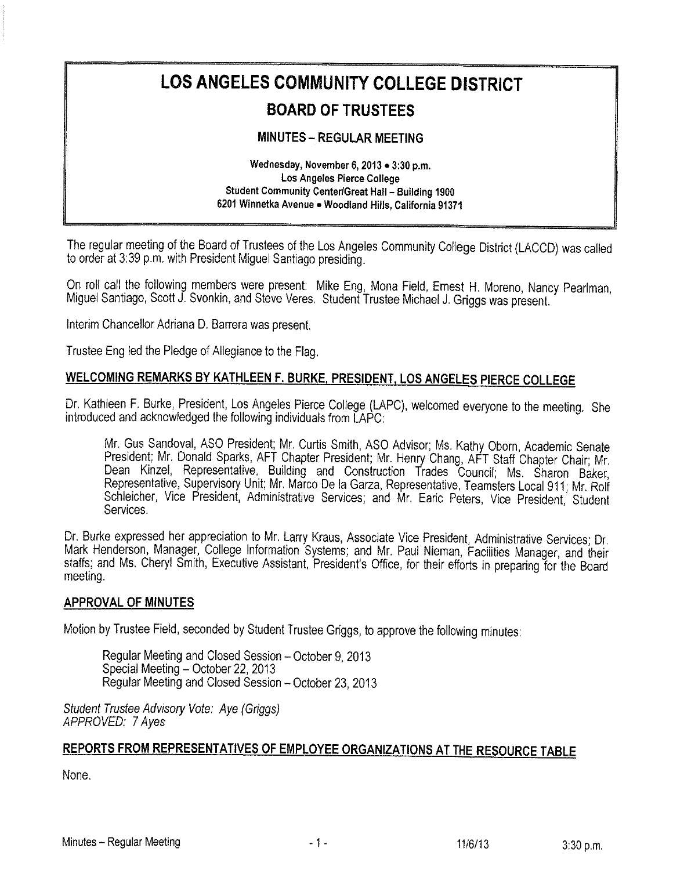# LOS ANGELES COMMUNITY COLLEGE DISTRICT

# **BOARD OF TRUSTEES**

# **MINUTES - REGULAR MEETING**

Wednesday, November 6, 2013 . 3:30 p.m. Los Angeles Pierce College Student Community Center/Great Hall - Building 1900 6201 Winnetka Avenue . Woodland Hills, California 91371

The regular meeting of the Board of Trustees of the Los Angeles Community College District (LACCD) was called to order at 3:39 p.m. with President Miguel Santiago presiding.

On roll call the following members were present: Mike Eng, Mona Field, Ernest H. Moreno, Nancy Pearlman, Miguel Santiago, Scott J. Svonkin, and Steve Veres. Student Trustee Michael J. Griggs was present.

Interim Chancellor Adriana D. Barrera was present.

Trustee Eng led the Pledge of Allegiance to the Flag.

# WELCOMING REMARKS BY KATHLEEN F. BURKE, PRESIDENT, LOS ANGELES PIERCE COLLEGE

Dr. Kathleen F. Burke, President, Los Angeles Pierce College (LAPC), welcomed everyone to the meeting. She introduced and acknowledged the following individuals from LAPC:

Mr. Gus Sandoval, ASO President; Mr. Curtis Smith, ASO Advisor; Ms. Kathy Oborn, Academic Senate President; Mr. Donald Sparks, AFT Chapter President; Mr. Henry Chang, AFT Staff Chapter Chair; Mr. Dean Kinzel, Representative, Building and Construction Trades Council; Ms. Sharon Baker, Representative, Supervisory Unit; Mr. Marco De la Garza, Representative, Teamsters Local 911; Mr. Rolf Schleicher, Vice President, Administrative Services; and Mr. Earic Peters, Vice President, Student Services.

Dr. Burke expressed her appreciation to Mr. Larry Kraus, Associate Vice President, Administrative Services; Dr. Mark Henderson, Manager, College Information Systems; and Mr. Paul Nieman, Facilities Manager, and their staffs; and Ms. Cheryl Smith, Executive Assistant, President's Office, for their efforts in preparing for the Board meeting.

#### **APPROVAL OF MINUTES**

Motion by Trustee Field, seconded by Student Trustee Griggs, to approve the following minutes:

Regular Meeting and Closed Session - October 9, 2013 Special Meeting - October 22, 2013 Regular Meeting and Closed Session - October 23, 2013

Student Trustee Advisory Vote: Aye (Griggs) APPROVED: 7 Aves

# REPORTS FROM REPRESENTATIVES OF EMPLOYEE ORGANIZATIONS AT THE RESOURCE TABLE

None.